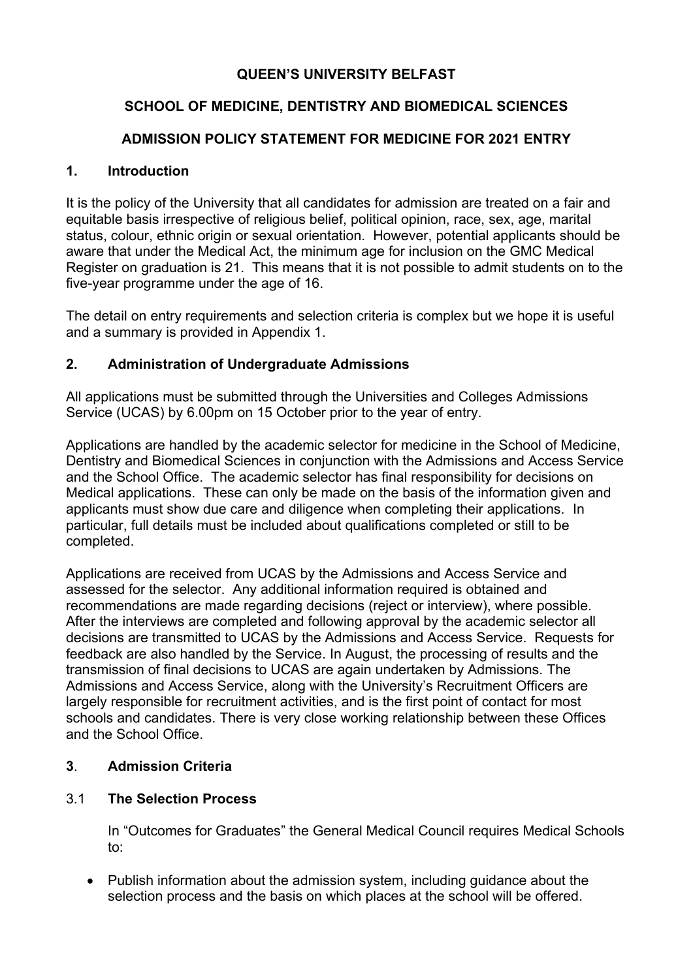# **QUEEN'S UNIVERSITY BELFAST**

# **SCHOOL OF MEDICINE, DENTISTRY AND BIOMEDICAL SCIENCES**

# **ADMISSION POLICY STATEMENT FOR MEDICINE FOR 2021 ENTRY**

#### **1. Introduction**

It is the policy of the University that all candidates for admission are treated on a fair and equitable basis irrespective of religious belief, political opinion, race, sex, age, marital status, colour, ethnic origin or sexual orientation. However, potential applicants should be aware that under the Medical Act, the minimum age for inclusion on the GMC Medical Register on graduation is 21. This means that it is not possible to admit students on to the five-year programme under the age of 16.

The detail on entry requirements and selection criteria is complex but we hope it is useful and a summary is provided in Appendix 1.

# **2. Administration of Undergraduate Admissions**

All applications must be submitted through the Universities and Colleges Admissions Service (UCAS) by 6.00pm on 15 October prior to the year of entry.

Applications are handled by the academic selector for medicine in the School of Medicine, Dentistry and Biomedical Sciences in conjunction with the Admissions and Access Service and the School Office. The academic selector has final responsibility for decisions on Medical applications. These can only be made on the basis of the information given and applicants must show due care and diligence when completing their applications. In particular, full details must be included about qualifications completed or still to be completed.

Applications are received from UCAS by the Admissions and Access Service and assessed for the selector. Any additional information required is obtained and recommendations are made regarding decisions (reject or interview), where possible. After the interviews are completed and following approval by the academic selector all decisions are transmitted to UCAS by the Admissions and Access Service. Requests for feedback are also handled by the Service. In August, the processing of results and the transmission of final decisions to UCAS are again undertaken by Admissions. The Admissions and Access Service, along with the University's Recruitment Officers are largely responsible for recruitment activities, and is the first point of contact for most schools and candidates. There is very close working relationship between these Offices and the School Office.

# **3**. **Admission Criteria**

# 3.1 **The Selection Process**

In "Outcomes for Graduates" the General Medical Council requires Medical Schools to:

• Publish information about the admission system, including guidance about the selection process and the basis on which places at the school will be offered.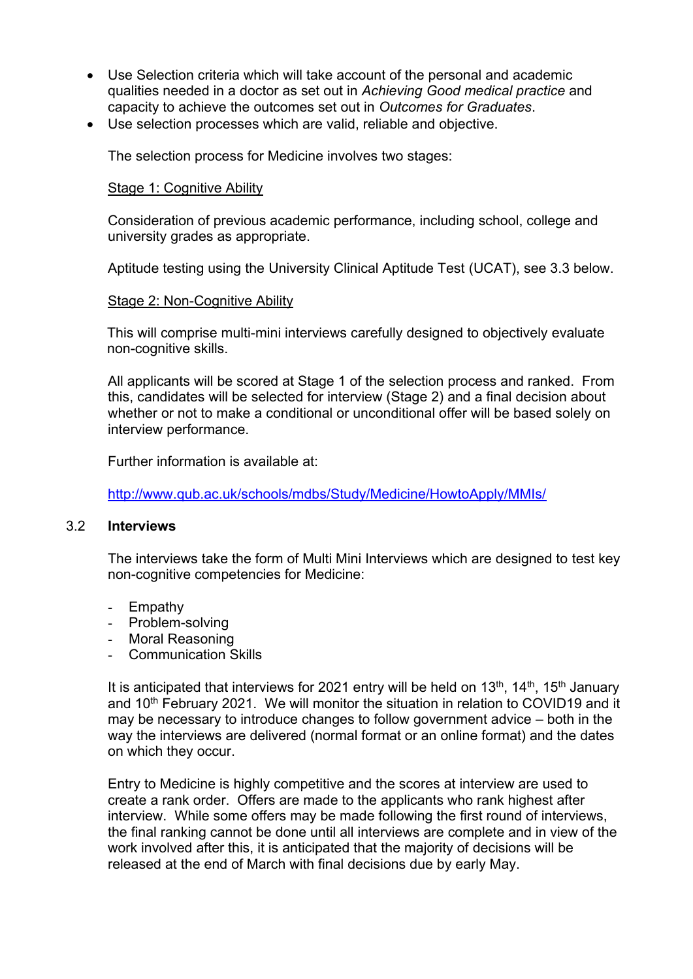- Use Selection criteria which will take account of the personal and academic qualities needed in a doctor as set out in *Achieving Good medical practice* and capacity to achieve the outcomes set out in *Outcomes for Graduates*.
- Use selection processes which are valid, reliable and objective.

The selection process for Medicine involves two stages:

#### Stage 1: Cognitive Ability

Consideration of previous academic performance, including school, college and university grades as appropriate.

Aptitude testing using the University Clinical Aptitude Test (UCAT), see 3.3 below.

#### Stage 2: Non-Cognitive Ability

This will comprise multi-mini interviews carefully designed to objectively evaluate non-cognitive skills.

All applicants will be scored at Stage 1 of the selection process and ranked. From this, candidates will be selected for interview (Stage 2) and a final decision about whether or not to make a conditional or unconditional offer will be based solely on interview performance.

Further information is available at:

http://www.qub.ac.uk/schools/mdbs/Study/Medicine/HowtoApply/MMIs/

#### 3.2 **Interviews**

The interviews take the form of Multi Mini Interviews which are designed to test key non-cognitive competencies for Medicine:

- Empathy
- Problem-solving
- Moral Reasoning
- Communication Skills

It is anticipated that interviews for 2021 entry will be held on  $13<sup>th</sup>$ ,  $14<sup>th</sup>$ ,  $15<sup>th</sup>$  January and 10<sup>th</sup> February 2021. We will monitor the situation in relation to COVID19 and it may be necessary to introduce changes to follow government advice – both in the way the interviews are delivered (normal format or an online format) and the dates on which they occur.

Entry to Medicine is highly competitive and the scores at interview are used to create a rank order. Offers are made to the applicants who rank highest after interview. While some offers may be made following the first round of interviews, the final ranking cannot be done until all interviews are complete and in view of the work involved after this, it is anticipated that the majority of decisions will be released at the end of March with final decisions due by early May.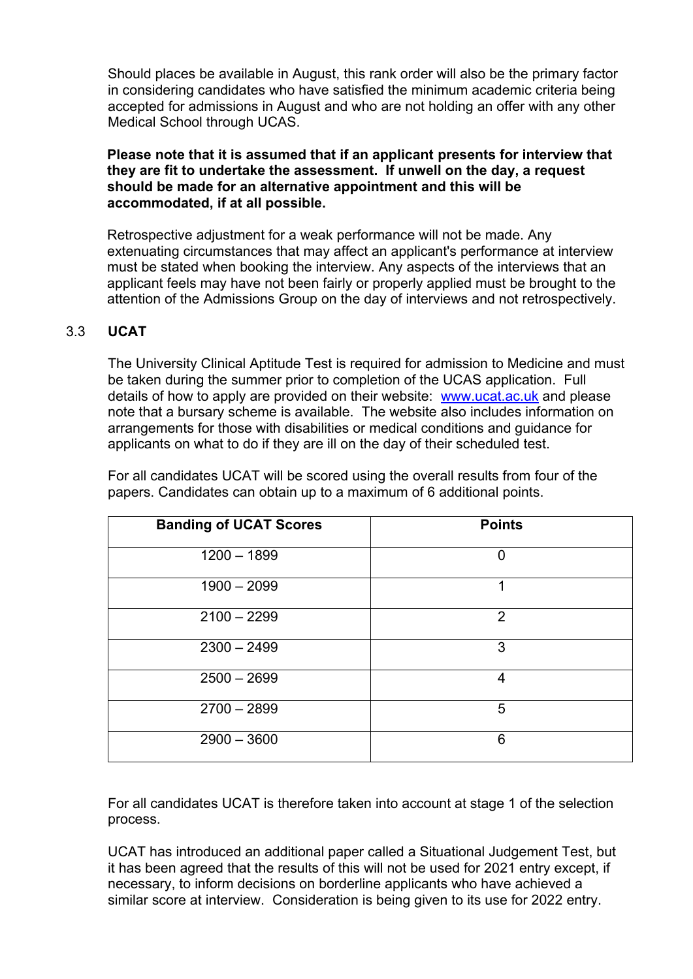Should places be available in August, this rank order will also be the primary factor in considering candidates who have satisfied the minimum academic criteria being accepted for admissions in August and who are not holding an offer with any other Medical School through UCAS.

#### **Please note that it is assumed that if an applicant presents for interview that they are fit to undertake the assessment. If unwell on the day, a request should be made for an alternative appointment and this will be accommodated, if at all possible.**

Retrospective adjustment for a weak performance will not be made. Any extenuating circumstances that may affect an applicant's performance at interview must be stated when booking the interview. Any aspects of the interviews that an applicant feels may have not been fairly or properly applied must be brought to the attention of the Admissions Group on the day of interviews and not retrospectively.

# 3.3 **UCAT**

The University Clinical Aptitude Test is required for admission to Medicine and must be taken during the summer prior to completion of the UCAS application. Full details of how to apply are provided on their website: www.ucat.ac.uk and please note that a bursary scheme is available. The website also includes information on arrangements for those with disabilities or medical conditions and guidance for applicants on what to do if they are ill on the day of their scheduled test.

| <b>Banding of UCAT Scores</b> | <b>Points</b>  |
|-------------------------------|----------------|
| $1200 - 1899$                 | $\overline{0}$ |
| $1900 - 2099$                 | 1              |
| $2100 - 2299$                 | $\overline{2}$ |
| $2300 - 2499$                 | 3              |
| $2500 - 2699$                 | 4              |
| $2700 - 2899$                 | 5              |
| $2900 - 3600$                 | 6              |

For all candidates UCAT will be scored using the overall results from four of the papers. Candidates can obtain up to a maximum of 6 additional points.

For all candidates UCAT is therefore taken into account at stage 1 of the selection process.

UCAT has introduced an additional paper called a Situational Judgement Test, but it has been agreed that the results of this will not be used for 2021 entry except, if necessary, to inform decisions on borderline applicants who have achieved a similar score at interview. Consideration is being given to its use for 2022 entry.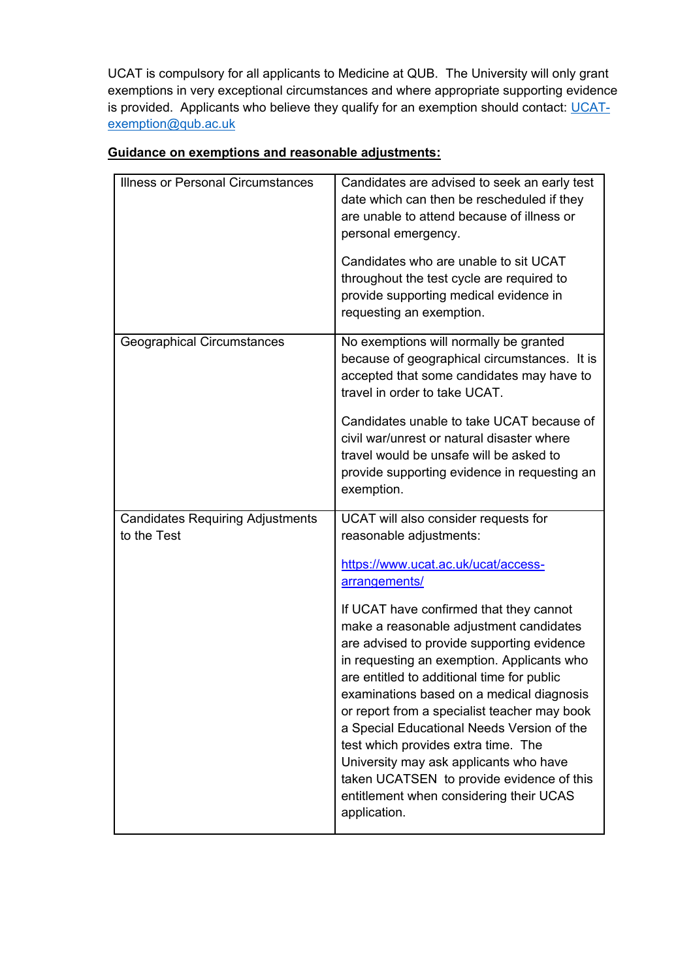UCAT is compulsory for all applicants to Medicine at QUB. The University will only grant exemptions in very exceptional circumstances and where appropriate supporting evidence is provided. Applicants who believe they qualify for an exemption should contact: UCATexemption@qub.ac.uk

| <b>Illness or Personal Circumstances</b>               | Candidates are advised to seek an early test<br>date which can then be rescheduled if they<br>are unable to attend because of illness or<br>personal emergency.<br>Candidates who are unable to sit UCAT<br>throughout the test cycle are required to<br>provide supporting medical evidence in<br>requesting an exemption.                                                                                                                                                                                                                                                                                                                                                                        |
|--------------------------------------------------------|----------------------------------------------------------------------------------------------------------------------------------------------------------------------------------------------------------------------------------------------------------------------------------------------------------------------------------------------------------------------------------------------------------------------------------------------------------------------------------------------------------------------------------------------------------------------------------------------------------------------------------------------------------------------------------------------------|
| <b>Geographical Circumstances</b>                      | No exemptions will normally be granted<br>because of geographical circumstances. It is<br>accepted that some candidates may have to<br>travel in order to take UCAT.<br>Candidates unable to take UCAT because of<br>civil war/unrest or natural disaster where<br>travel would be unsafe will be asked to<br>provide supporting evidence in requesting an<br>exemption.                                                                                                                                                                                                                                                                                                                           |
| <b>Candidates Requiring Adjustments</b><br>to the Test | UCAT will also consider requests for<br>reasonable adjustments:<br>https://www.ucat.ac.uk/ucat/access-<br><u>arrangements/</u><br>If UCAT have confirmed that they cannot<br>make a reasonable adjustment candidates<br>are advised to provide supporting evidence<br>in requesting an exemption. Applicants who<br>are entitled to additional time for public<br>examinations based on a medical diagnosis<br>or report from a specialist teacher may book<br>a Special Educational Needs Version of the<br>test which provides extra time. The<br>University may ask applicants who have<br>taken UCATSEN to provide evidence of this<br>entitlement when considering their UCAS<br>application. |

# **Guidance on exemptions and reasonable adjustments:**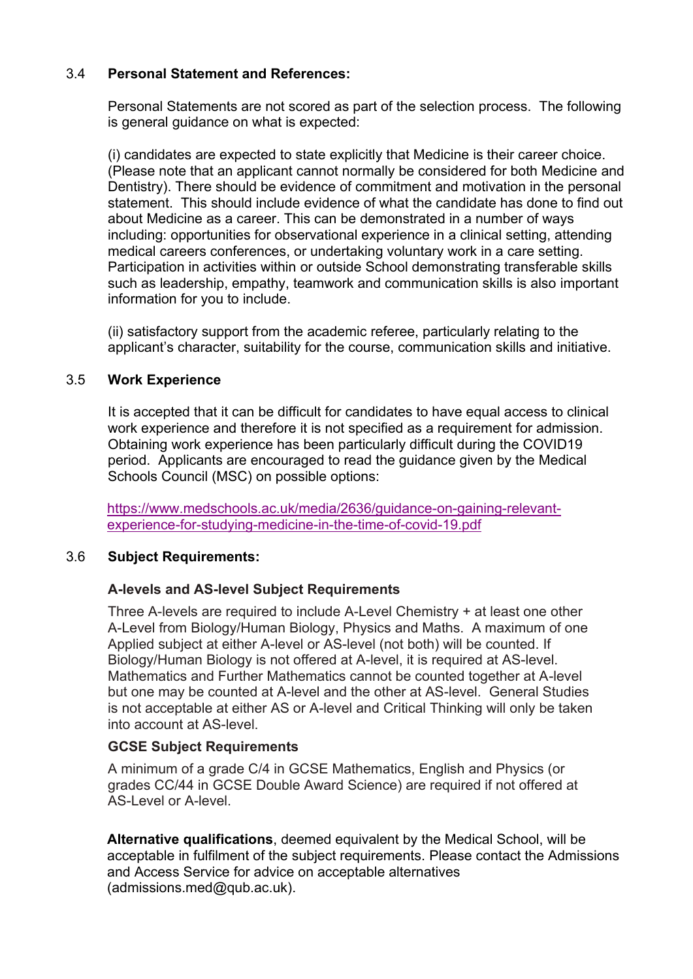# 3.4 **Personal Statement and References:**

Personal Statements are not scored as part of the selection process. The following is general guidance on what is expected:

(i) candidates are expected to state explicitly that Medicine is their career choice. (Please note that an applicant cannot normally be considered for both Medicine and Dentistry). There should be evidence of commitment and motivation in the personal statement. This should include evidence of what the candidate has done to find out about Medicine as a career. This can be demonstrated in a number of ways including: opportunities for observational experience in a clinical setting, attending medical careers conferences, or undertaking voluntary work in a care setting. Participation in activities within or outside School demonstrating transferable skills such as leadership, empathy, teamwork and communication skills is also important information for you to include.

(ii) satisfactory support from the academic referee, particularly relating to the applicant's character, suitability for the course, communication skills and initiative.

# 3.5 **Work Experience**

It is accepted that it can be difficult for candidates to have equal access to clinical work experience and therefore it is not specified as a requirement for admission. Obtaining work experience has been particularly difficult during the COVID19 period. Applicants are encouraged to read the guidance given by the Medical Schools Council (MSC) on possible options:

https://www.medschools.ac.uk/media/2636/guidance-on-gaining-relevantexperience-for-studying-medicine-in-the-time-of-covid-19.pdf

#### 3.6 **Subject Requirements:**

#### **A-levels and AS-level Subject Requirements**

Three A-levels are required to include A-Level Chemistry + at least one other A-Level from Biology/Human Biology, Physics and Maths. A maximum of one Applied subject at either A-level or AS-level (not both) will be counted. If Biology/Human Biology is not offered at A-level, it is required at AS-level. Mathematics and Further Mathematics cannot be counted together at A-level but one may be counted at A-level and the other at AS-level. General Studies is not acceptable at either AS or A-level and Critical Thinking will only be taken into account at AS-level.

#### **GCSE Subject Requirements**

A minimum of a grade C/4 in GCSE Mathematics, English and Physics (or grades CC/44 in GCSE Double Award Science) are required if not offered at AS-Level or A-level.

**Alternative qualifications**, deemed equivalent by the Medical School, will be acceptable in fulfilment of the subject requirements. Please contact the Admissions and Access Service for advice on acceptable alternatives (admissions.med@qub.ac.uk).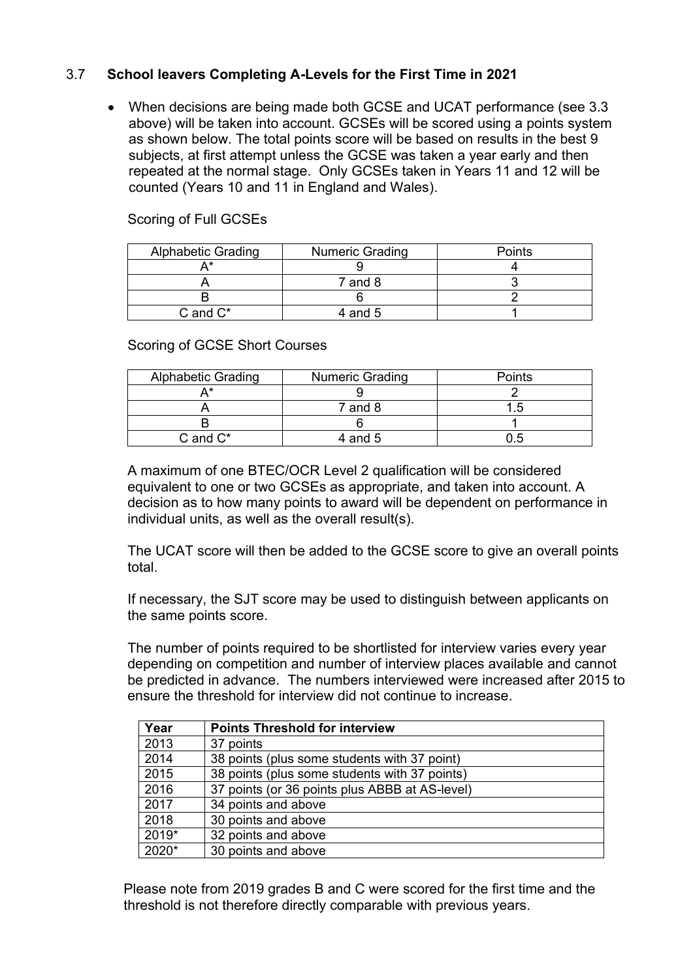# 3.7 **School leavers Completing A-Levels for the First Time in 2021**

 When decisions are being made both GCSE and UCAT performance (see 3.3 above) will be taken into account. GCSEs will be scored using a points system as shown below. The total points score will be based on results in the best 9 subjects, at first attempt unless the GCSE was taken a year early and then repeated at the normal stage. Only GCSEs taken in Years 11 and 12 will be counted (Years 10 and 11 in England and Wales).

# Scoring of Full GCSEs

| <b>Alphabetic Grading</b> | <b>Numeric Grading</b> | Points |
|---------------------------|------------------------|--------|
|                           |                        |        |
|                           | 7 and 8                |        |
|                           |                        |        |
| $C$ and $C^*$             | 4 and 5                |        |

# Scoring of GCSE Short Courses

| <b>Alphabetic Grading</b> | <b>Numeric Grading</b> | <b>Points</b> |
|---------------------------|------------------------|---------------|
|                           |                        |               |
|                           | $7$ and $8$            |               |
|                           |                        |               |
| $C$ and $C^*$             | 4 and 5                |               |

A maximum of one BTEC/OCR Level 2 qualification will be considered equivalent to one or two GCSEs as appropriate, and taken into account. A decision as to how many points to award will be dependent on performance in individual units, as well as the overall result(s).

The UCAT score will then be added to the GCSE score to give an overall points total.

If necessary, the SJT score may be used to distinguish between applicants on the same points score.

The number of points required to be shortlisted for interview varies every year depending on competition and number of interview places available and cannot be predicted in advance. The numbers interviewed were increased after 2015 to ensure the threshold for interview did not continue to increase.

| Year  | <b>Points Threshold for interview</b>          |
|-------|------------------------------------------------|
| 2013  | 37 points                                      |
| 2014  | 38 points (plus some students with 37 point)   |
| 2015  | 38 points (plus some students with 37 points)  |
| 2016  | 37 points (or 36 points plus ABBB at AS-level) |
| 2017  | 34 points and above                            |
| 2018  | 30 points and above                            |
| 2019* | 32 points and above                            |
| 2020* | 30 points and above                            |

Please note from 2019 grades B and C were scored for the first time and the threshold is not therefore directly comparable with previous years.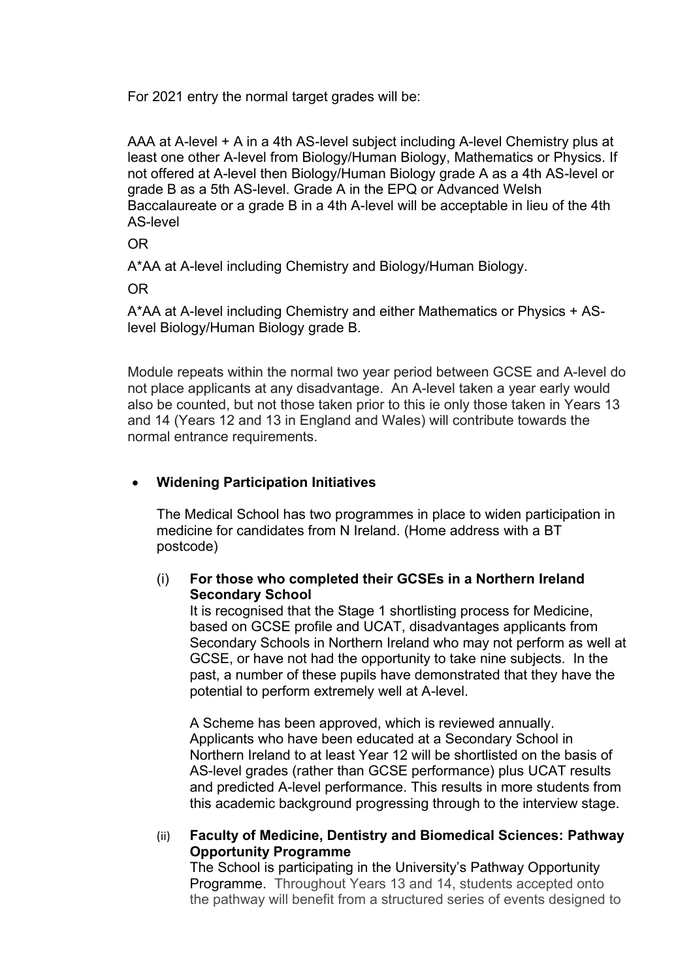For 2021 entry the normal target grades will be:

AAA at A-level + A in a 4th AS-level subject including A-level Chemistry plus at least one other A-level from Biology/Human Biology, Mathematics or Physics. If not offered at A-level then Biology/Human Biology grade A as a 4th AS-level or grade B as a 5th AS-level. Grade A in the EPQ or Advanced Welsh Baccalaureate or a grade B in a 4th A-level will be acceptable in lieu of the 4th AS-level

OR

A\*AA at A-level including Chemistry and Biology/Human Biology.

OR

A\*AA at A-level including Chemistry and either Mathematics or Physics + ASlevel Biology/Human Biology grade B.

Module repeats within the normal two year period between GCSE and A-level do not place applicants at any disadvantage. An A-level taken a year early would also be counted, but not those taken prior to this ie only those taken in Years 13 and 14 (Years 12 and 13 in England and Wales) will contribute towards the normal entrance requirements.

# **Widening Participation Initiatives**

The Medical School has two programmes in place to widen participation in medicine for candidates from N Ireland. (Home address with a BT postcode)

# (i) **For those who completed their GCSEs in a Northern Ireland Secondary School**

It is recognised that the Stage 1 shortlisting process for Medicine, based on GCSE profile and UCAT, disadvantages applicants from Secondary Schools in Northern Ireland who may not perform as well at GCSE, or have not had the opportunity to take nine subjects. In the past, a number of these pupils have demonstrated that they have the potential to perform extremely well at A-level.

A Scheme has been approved, which is reviewed annually. Applicants who have been educated at a Secondary School in Northern Ireland to at least Year 12 will be shortlisted on the basis of AS-level grades (rather than GCSE performance) plus UCAT results and predicted A-level performance. This results in more students from this academic background progressing through to the interview stage.

#### (ii) **Faculty of Medicine, Dentistry and Biomedical Sciences: Pathway Opportunity Programme**

The School is participating in the University's Pathway Opportunity Programme. Throughout Years 13 and 14, students accepted onto the pathway will benefit from a structured series of events designed to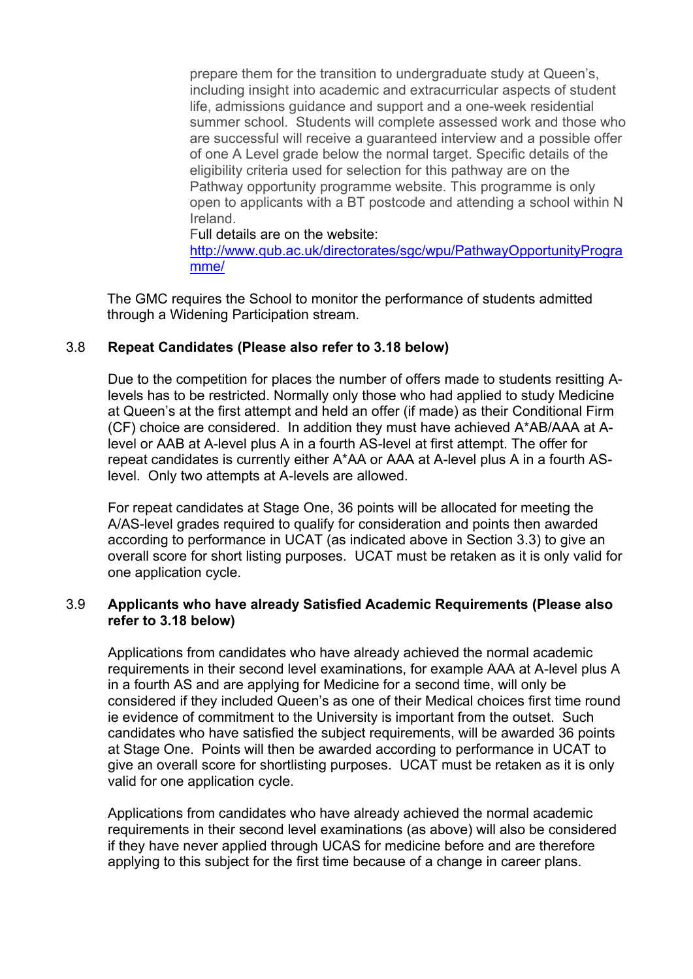prepare them for the transition to undergraduate study at Queen's, including insight into academic and extracurricular aspects of student life, admissions guidance and support and a one-week residential summer school. Students will complete assessed work and those who are successful will receive a guaranteed interview and a possible offer of one A Level grade below the normal target. Specific details of the eligibility criteria used for selection for this pathway are on the Pathway opportunity programme website. This programme is only open to applicants with a BT postcode and attending a school within N Ireland.

Full details are on the website:

http://www.qub.ac.uk/directorates/sgc/wpu/PathwayOpportunityProgra mme/

The GMC requires the School to monitor the performance of students admitted through a Widening Participation stream.

#### 3.8 **Repeat Candidates (Please also refer to 3.18 below)**

Due to the competition for places the number of offers made to students resitting Alevels has to be restricted. Normally only those who had applied to study Medicine at Queen's at the first attempt and held an offer (if made) as their Conditional Firm (CF) choice are considered. In addition they must have achieved A\*AB/AAA at Alevel or AAB at A-level plus A in a fourth AS-level at first attempt. The offer for repeat candidates is currently either A\*AA or AAA at A-level plus A in a fourth ASlevel. Only two attempts at A-levels are allowed.

For repeat candidates at Stage One, 36 points will be allocated for meeting the A/AS-level grades required to qualify for consideration and points then awarded according to performance in UCAT (as indicated above in Section 3.3) to give an overall score for short listing purposes. UCAT must be retaken as it is only valid for one application cycle.

# 3.9 **Applicants who have already Satisfied Academic Requirements (Please also refer to 3.18 below)**

Applications from candidates who have already achieved the normal academic requirements in their second level examinations, for example AAA at A-level plus A in a fourth AS and are applying for Medicine for a second time, will only be considered if they included Queen's as one of their Medical choices first time round ie evidence of commitment to the University is important from the outset. Such candidates who have satisfied the subject requirements, will be awarded 36 points at Stage One. Points will then be awarded according to performance in UCAT to give an overall score for shortlisting purposes. UCAT must be retaken as it is only valid for one application cycle.

Applications from candidates who have already achieved the normal academic requirements in their second level examinations (as above) will also be considered if they have never applied through UCAS for medicine before and are therefore applying to this subject for the first time because of a change in career plans.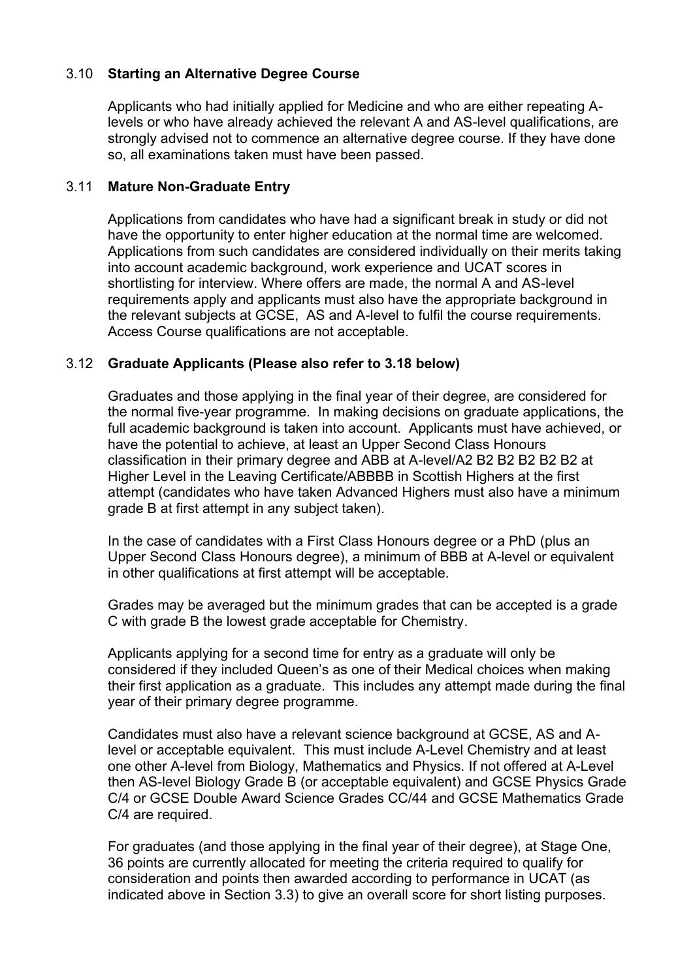# 3.10 **Starting an Alternative Degree Course**

Applicants who had initially applied for Medicine and who are either repeating Alevels or who have already achieved the relevant A and AS-level qualifications, are strongly advised not to commence an alternative degree course. If they have done so, all examinations taken must have been passed.

#### 3.11 **Mature Non-Graduate Entry**

Applications from candidates who have had a significant break in study or did not have the opportunity to enter higher education at the normal time are welcomed. Applications from such candidates are considered individually on their merits taking into account academic background, work experience and UCAT scores in shortlisting for interview. Where offers are made, the normal A and AS-level requirements apply and applicants must also have the appropriate background in the relevant subjects at GCSE, AS and A-level to fulfil the course requirements. Access Course qualifications are not acceptable.

# 3.12 **Graduate Applicants (Please also refer to 3.18 below)**

Graduates and those applying in the final year of their degree, are considered for the normal five-year programme. In making decisions on graduate applications, the full academic background is taken into account. Applicants must have achieved, or have the potential to achieve, at least an Upper Second Class Honours classification in their primary degree and ABB at A-level/A2 B2 B2 B2 B2 B2 at Higher Level in the Leaving Certificate/ABBBB in Scottish Highers at the first attempt (candidates who have taken Advanced Highers must also have a minimum grade B at first attempt in any subject taken).

In the case of candidates with a First Class Honours degree or a PhD (plus an Upper Second Class Honours degree), a minimum of BBB at A-level or equivalent in other qualifications at first attempt will be acceptable.

Grades may be averaged but the minimum grades that can be accepted is a grade C with grade B the lowest grade acceptable for Chemistry.

Applicants applying for a second time for entry as a graduate will only be considered if they included Queen's as one of their Medical choices when making their first application as a graduate. This includes any attempt made during the final year of their primary degree programme.

Candidates must also have a relevant science background at GCSE, AS and Alevel or acceptable equivalent. This must include A-Level Chemistry and at least one other A-level from Biology, Mathematics and Physics. If not offered at A-Level then AS-level Biology Grade B (or acceptable equivalent) and GCSE Physics Grade C/4 or GCSE Double Award Science Grades CC/44 and GCSE Mathematics Grade C/4 are required.

For graduates (and those applying in the final year of their degree), at Stage One, 36 points are currently allocated for meeting the criteria required to qualify for consideration and points then awarded according to performance in UCAT (as indicated above in Section 3.3) to give an overall score for short listing purposes.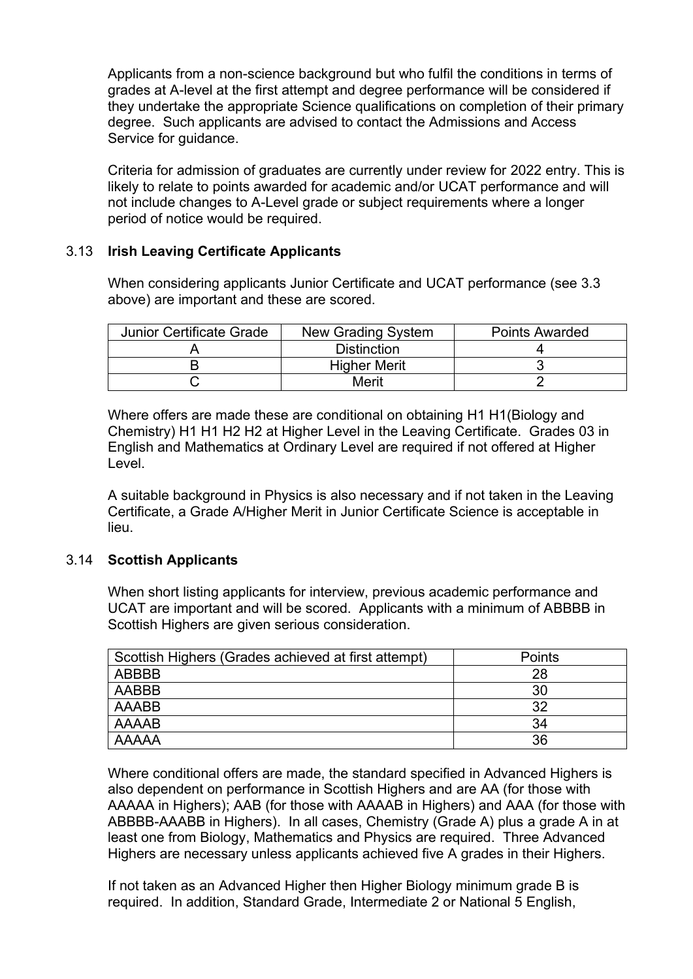Applicants from a non-science background but who fulfil the conditions in terms of grades at A-level at the first attempt and degree performance will be considered if they undertake the appropriate Science qualifications on completion of their primary degree. Such applicants are advised to contact the Admissions and Access Service for guidance.

Criteria for admission of graduates are currently under review for 2022 entry. This is likely to relate to points awarded for academic and/or UCAT performance and will not include changes to A-Level grade or subject requirements where a longer period of notice would be required.

# 3.13 **Irish Leaving Certificate Applicants**

When considering applicants Junior Certificate and UCAT performance (see 3.3 above) are important and these are scored.

| <b>Junior Certificate Grade</b> | New Grading System  | <b>Points Awarded</b> |
|---------------------------------|---------------------|-----------------------|
|                                 | <b>Distinction</b>  |                       |
|                                 | <b>Higher Merit</b> |                       |
|                                 | Merit               |                       |

Where offers are made these are conditional on obtaining H1 H1(Biology and Chemistry) H1 H1 H2 H2 at Higher Level in the Leaving Certificate. Grades 03 in English and Mathematics at Ordinary Level are required if not offered at Higher Level.

A suitable background in Physics is also necessary and if not taken in the Leaving Certificate, a Grade A/Higher Merit in Junior Certificate Science is acceptable in lieu.

#### 3.14 **Scottish Applicants**

When short listing applicants for interview, previous academic performance and UCAT are important and will be scored. Applicants with a minimum of ABBBB in Scottish Highers are given serious consideration.

| Scottish Highers (Grades achieved at first attempt) | Points |
|-----------------------------------------------------|--------|
| ABBBB                                               | 28     |
| AABBB                                               | 30     |
| AAABB                                               | 32     |
| <b>AAAAB</b>                                        | 34     |
| <b>AAAAA</b>                                        | 36     |

Where conditional offers are made, the standard specified in Advanced Highers is also dependent on performance in Scottish Highers and are AA (for those with AAAAA in Highers); AAB (for those with AAAAB in Highers) and AAA (for those with ABBBB-AAABB in Highers). In all cases, Chemistry (Grade A) plus a grade A in at least one from Biology, Mathematics and Physics are required. Three Advanced Highers are necessary unless applicants achieved five A grades in their Highers.

If not taken as an Advanced Higher then Higher Biology minimum grade B is required. In addition, Standard Grade, Intermediate 2 or National 5 English,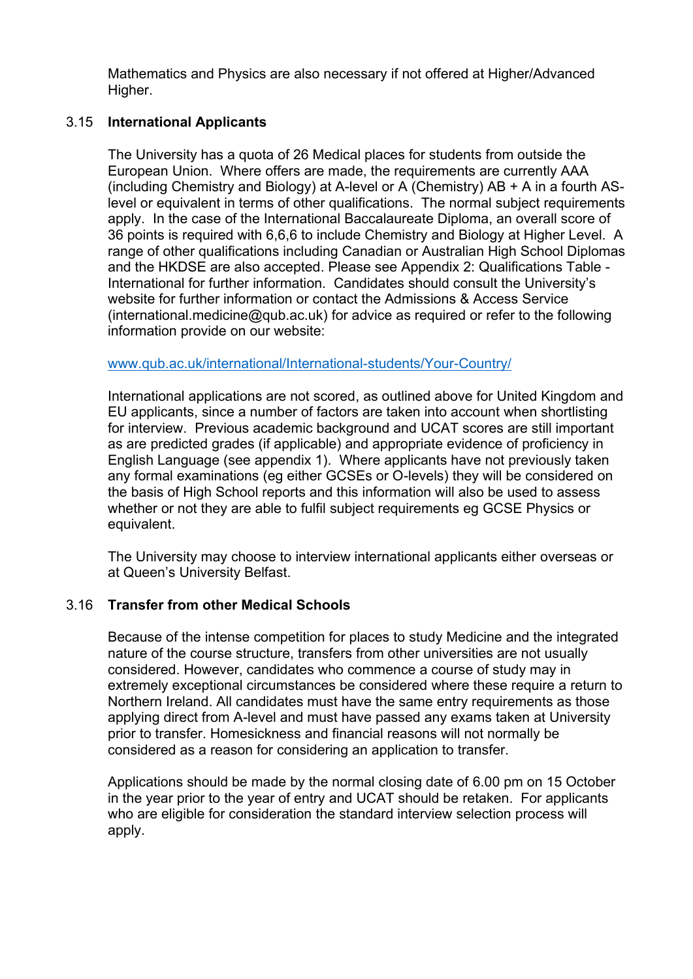Mathematics and Physics are also necessary if not offered at Higher/Advanced Higher.

# 3.15 **International Applicants**

The University has a quota of 26 Medical places for students from outside the European Union. Where offers are made, the requirements are currently AAA (including Chemistry and Biology) at A-level or A (Chemistry) AB + A in a fourth ASlevel or equivalent in terms of other qualifications. The normal subject requirements apply. In the case of the International Baccalaureate Diploma, an overall score of 36 points is required with 6,6,6 to include Chemistry and Biology at Higher Level. A range of other qualifications including Canadian or Australian High School Diplomas and the HKDSE are also accepted. Please see Appendix 2: Qualifications Table - International for further information. Candidates should consult the University's website for further information or contact the Admissions & Access Service (international.medicine@qub.ac.uk) for advice as required or refer to the following information provide on our website:

#### www.qub.ac.uk/international/International-students/Your-Country/

International applications are not scored, as outlined above for United Kingdom and EU applicants, since a number of factors are taken into account when shortlisting for interview. Previous academic background and UCAT scores are still important as are predicted grades (if applicable) and appropriate evidence of proficiency in English Language (see appendix 1). Where applicants have not previously taken any formal examinations (eg either GCSEs or O-levels) they will be considered on the basis of High School reports and this information will also be used to assess whether or not they are able to fulfil subject requirements eg GCSE Physics or equivalent.

The University may choose to interview international applicants either overseas or at Queen's University Belfast.

#### 3.16 **Transfer from other Medical Schools**

Because of the intense competition for places to study Medicine and the integrated nature of the course structure, transfers from other universities are not usually considered. However, candidates who commence a course of study may in extremely exceptional circumstances be considered where these require a return to Northern Ireland. All candidates must have the same entry requirements as those applying direct from A-level and must have passed any exams taken at University prior to transfer. Homesickness and financial reasons will not normally be considered as a reason for considering an application to transfer.

Applications should be made by the normal closing date of 6.00 pm on 15 October in the year prior to the year of entry and UCAT should be retaken. For applicants who are eligible for consideration the standard interview selection process will apply.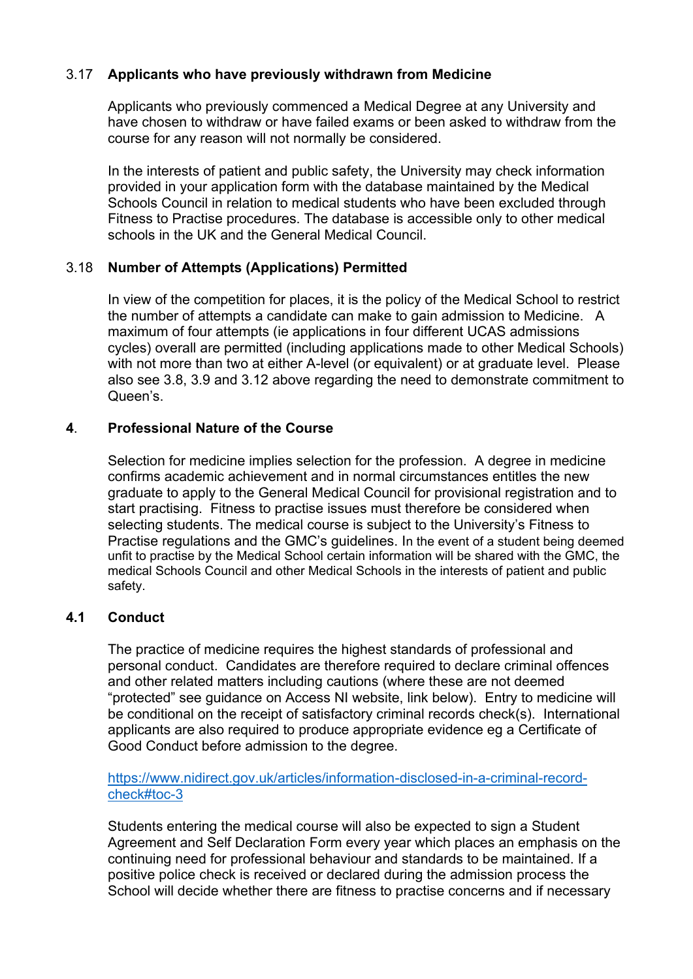# 3.17 **Applicants who have previously withdrawn from Medicine**

Applicants who previously commenced a Medical Degree at any University and have chosen to withdraw or have failed exams or been asked to withdraw from the course for any reason will not normally be considered.

In the interests of patient and public safety, the University may check information provided in your application form with the database maintained by the Medical Schools Council in relation to medical students who have been excluded through Fitness to Practise procedures. The database is accessible only to other medical schools in the UK and the General Medical Council.

# 3.18 **Number of Attempts (Applications) Permitted**

In view of the competition for places, it is the policy of the Medical School to restrict the number of attempts a candidate can make to gain admission to Medicine. A maximum of four attempts (ie applications in four different UCAS admissions cycles) overall are permitted (including applications made to other Medical Schools) with not more than two at either A-level (or equivalent) or at graduate level. Please also see 3.8, 3.9 and 3.12 above regarding the need to demonstrate commitment to Queen's.

#### **4**. **Professional Nature of the Course**

Selection for medicine implies selection for the profession. A degree in medicine confirms academic achievement and in normal circumstances entitles the new graduate to apply to the General Medical Council for provisional registration and to start practising. Fitness to practise issues must therefore be considered when selecting students. The medical course is subject to the University's Fitness to Practise regulations and the GMC's guidelines. In the event of a student being deemed unfit to practise by the Medical School certain information will be shared with the GMC, the medical Schools Council and other Medical Schools in the interests of patient and public safety.

#### **4.1 Conduct**

The practice of medicine requires the highest standards of professional and personal conduct. Candidates are therefore required to declare criminal offences and other related matters including cautions (where these are not deemed "protected" see guidance on Access NI website, link below). Entry to medicine will be conditional on the receipt of satisfactory criminal records check(s). International applicants are also required to produce appropriate evidence eg a Certificate of Good Conduct before admission to the degree.

#### https://www.nidirect.gov.uk/articles/information-disclosed-in-a-criminal-recordcheck#toc-3

Students entering the medical course will also be expected to sign a Student Agreement and Self Declaration Form every year which places an emphasis on the continuing need for professional behaviour and standards to be maintained. If a positive police check is received or declared during the admission process the School will decide whether there are fitness to practise concerns and if necessary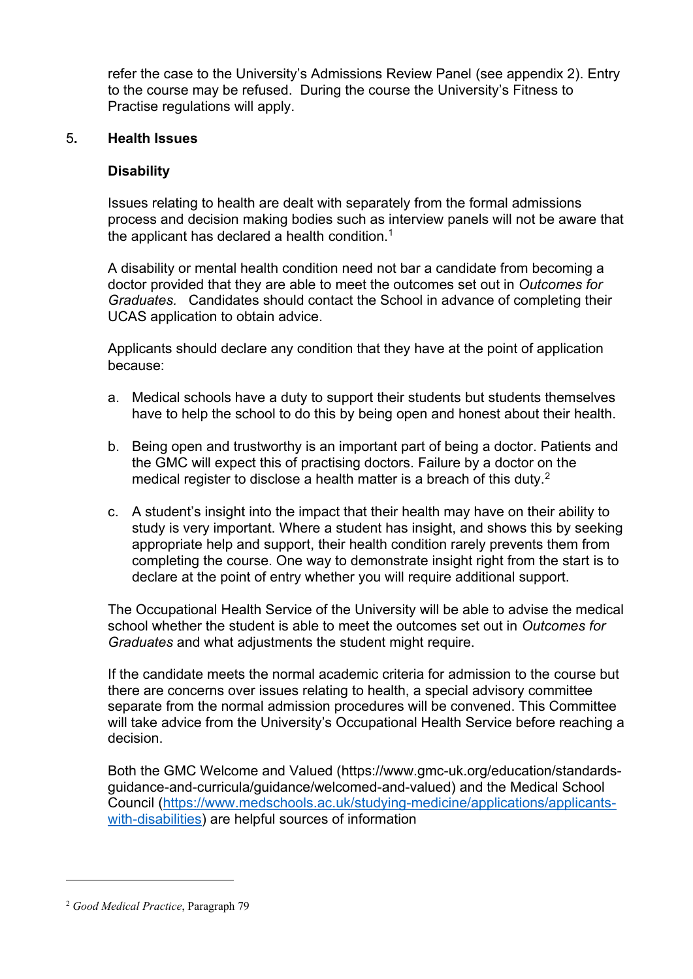refer the case to the University's Admissions Review Panel (see appendix 2). Entry to the course may be refused. During the course the University's Fitness to Practise regulations will apply.

#### 5**. Health Issues**

#### **Disability**

Issues relating to health are dealt with separately from the formal admissions process and decision making bodies such as interview panels will not be aware that the applicant has declared a health condition.<sup>1</sup>

A disability or mental health condition need not bar a candidate from becoming a doctor provided that they are able to meet the outcomes set out in *Outcomes for Graduates.* Candidates should contact the School in advance of completing their UCAS application to obtain advice.

Applicants should declare any condition that they have at the point of application because:

- a. Medical schools have a duty to support their students but students themselves have to help the school to do this by being open and honest about their health.
- b. Being open and trustworthy is an important part of being a doctor. Patients and the GMC will expect this of practising doctors. Failure by a doctor on the medical register to disclose a health matter is a breach of this duty. $2^2$
- c. A student's insight into the impact that their health may have on their ability to study is very important. Where a student has insight, and shows this by seeking appropriate help and support, their health condition rarely prevents them from completing the course. One way to demonstrate insight right from the start is to declare at the point of entry whether you will require additional support.

The Occupational Health Service of the University will be able to advise the medical school whether the student is able to meet the outcomes set out in *Outcomes for Graduates* and what adjustments the student might require.

If the candidate meets the normal academic criteria for admission to the course but there are concerns over issues relating to health, a special advisory committee separate from the normal admission procedures will be convened. This Committee will take advice from the University's Occupational Health Service before reaching a decision.

Both the GMC Welcome and Valued (https://www.gmc-uk.org/education/standardsguidance-and-curricula/guidance/welcomed-and-valued) and the Medical School Council (https://www.medschools.ac.uk/studying-medicine/applications/applicantswith-disabilities) are helpful sources of information

 $\overline{\phantom{a}}$ 

<sup>2</sup> *Good Medical Practice*, Paragraph 79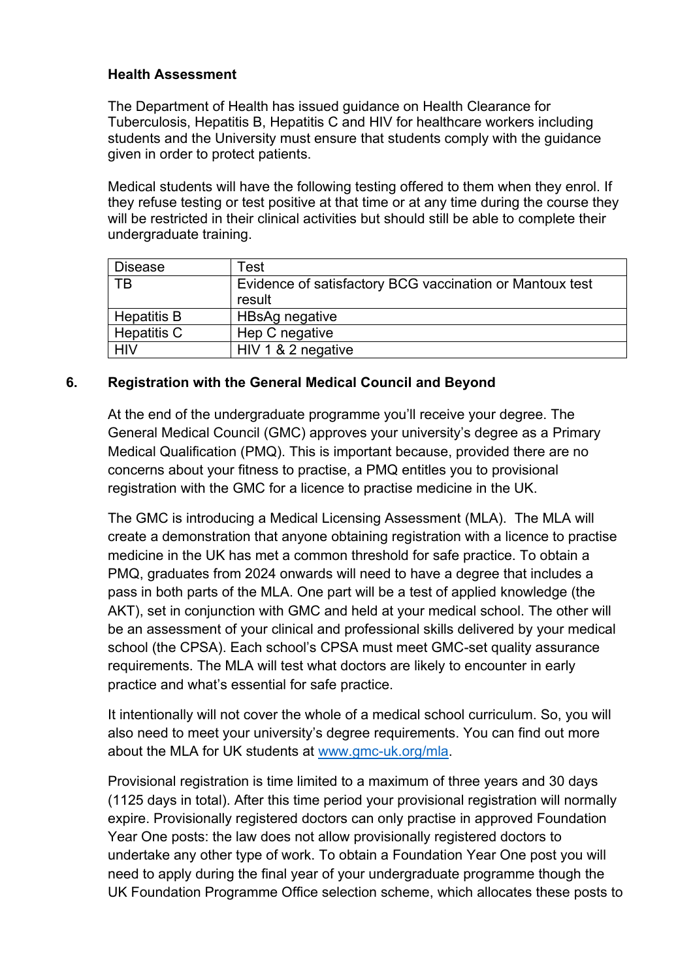# **Health Assessment**

The Department of Health has issued guidance on Health Clearance for Tuberculosis, Hepatitis B, Hepatitis C and HIV for healthcare workers including students and the University must ensure that students comply with the guidance given in order to protect patients.

Medical students will have the following testing offered to them when they enrol. If they refuse testing or test positive at that time or at any time during the course they will be restricted in their clinical activities but should still be able to complete their undergraduate training.

| <b>Disease</b>     | Test                                                     |
|--------------------|----------------------------------------------------------|
| TВ                 | Evidence of satisfactory BCG vaccination or Mantoux test |
|                    | result                                                   |
| <b>Hepatitis B</b> | HBsAg negative                                           |
| <b>Hepatitis C</b> | Hep C negative                                           |
| <b>HIV</b>         | HIV 1 & 2 negative                                       |

# **6. Registration with the General Medical Council and Beyond**

At the end of the undergraduate programme you'll receive your degree. The General Medical Council (GMC) approves your university's degree as a Primary Medical Qualification (PMQ). This is important because, provided there are no concerns about your fitness to practise, a PMQ entitles you to provisional registration with the GMC for a licence to practise medicine in the UK.

The GMC is introducing a Medical Licensing Assessment (MLA). The MLA will create a demonstration that anyone obtaining registration with a licence to practise medicine in the UK has met a common threshold for safe practice. To obtain a PMQ, graduates from 2024 onwards will need to have a degree that includes a pass in both parts of the MLA. One part will be a test of applied knowledge (the AKT), set in conjunction with GMC and held at your medical school. The other will be an assessment of your clinical and professional skills delivered by your medical school (the CPSA). Each school's CPSA must meet GMC-set quality assurance requirements. The MLA will test what doctors are likely to encounter in early practice and what's essential for safe practice.

It intentionally will not cover the whole of a medical school curriculum. So, you will also need to meet your university's degree requirements. You can find out more about the MLA for UK students at www.gmc-uk.org/mla.

Provisional registration is time limited to a maximum of three years and 30 days (1125 days in total). After this time period your provisional registration will normally expire. Provisionally registered doctors can only practise in approved Foundation Year One posts: the law does not allow provisionally registered doctors to undertake any other type of work. To obtain a Foundation Year One post you will need to apply during the final year of your undergraduate programme though the UK Foundation Programme Office selection scheme, which allocates these posts to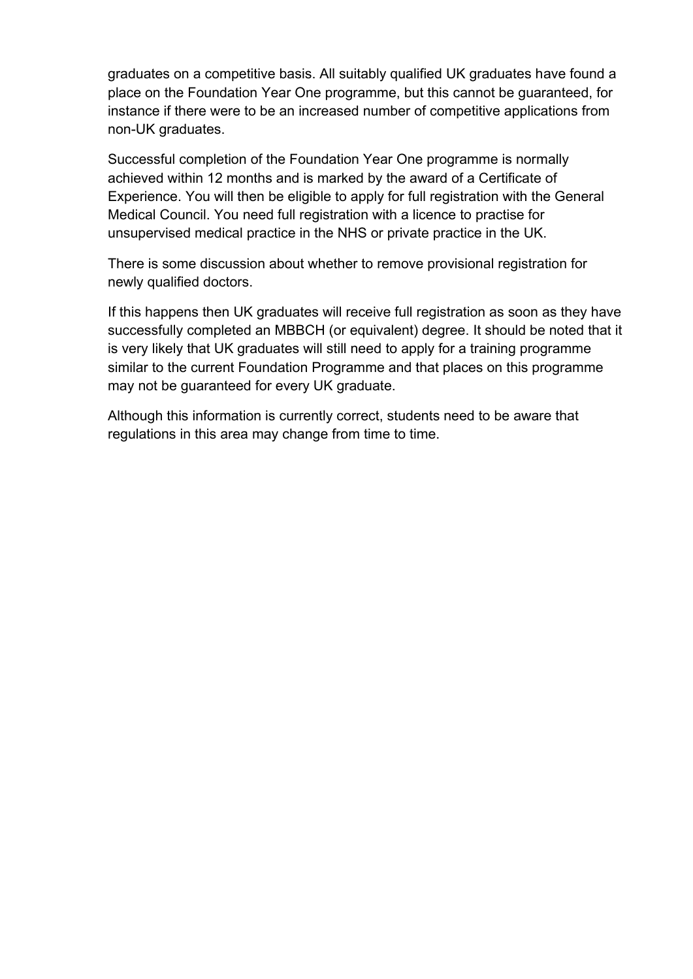graduates on a competitive basis. All suitably qualified UK graduates have found a place on the Foundation Year One programme, but this cannot be guaranteed, for instance if there were to be an increased number of competitive applications from non-UK graduates.

Successful completion of the Foundation Year One programme is normally achieved within 12 months and is marked by the award of a Certificate of Experience. You will then be eligible to apply for full registration with the General Medical Council. You need full registration with a licence to practise for unsupervised medical practice in the NHS or private practice in the UK.

There is some discussion about whether to remove provisional registration for newly qualified doctors.

If this happens then UK graduates will receive full registration as soon as they have successfully completed an MBBCH (or equivalent) degree. It should be noted that it is very likely that UK graduates will still need to apply for a training programme similar to the current Foundation Programme and that places on this programme may not be guaranteed for every UK graduate.

Although this information is currently correct, students need to be aware that regulations in this area may change from time to time.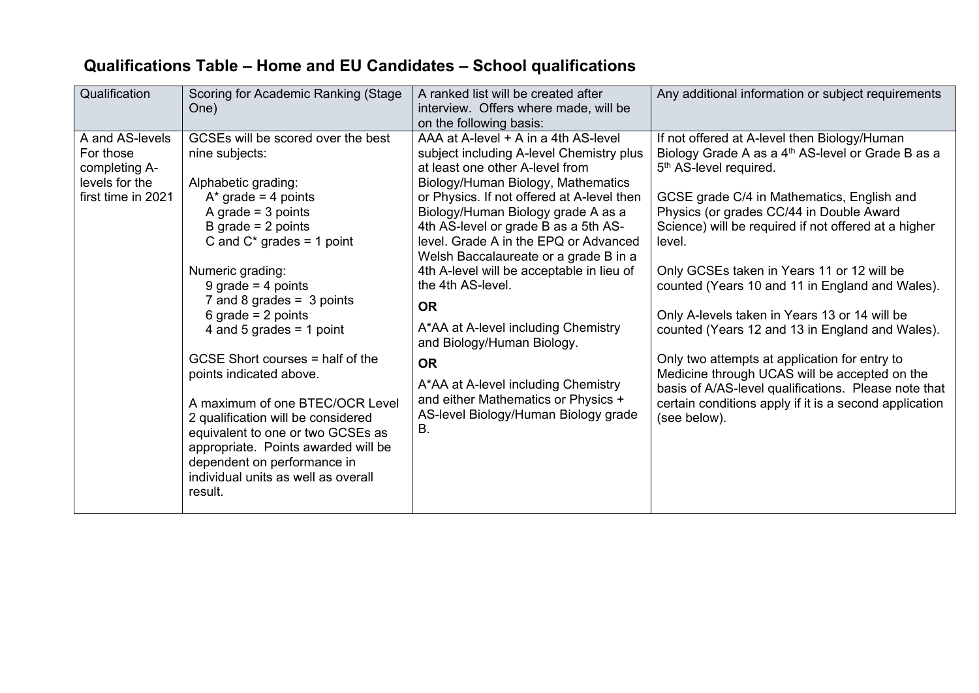|  |  |  | Qualifications Table – Home and EU Candidates – School qualifications |
|--|--|--|-----------------------------------------------------------------------|
|--|--|--|-----------------------------------------------------------------------|

| Qualification                                                                         | Scoring for Academic Ranking (Stage<br>One)                                                                                                                                                                                                                                                                                                                                                                                                                                                                                                                                                                               | A ranked list will be created after<br>interview. Offers where made, will be<br>on the following basis:                                                                                                                                                                                                                                                                                                                                                                                                                                                                                                                                                              | Any additional information or subject requirements                                                                                                                                                                                                                                                                                                                                                                                                                                                                                                                                                                                                                                                                                                       |
|---------------------------------------------------------------------------------------|---------------------------------------------------------------------------------------------------------------------------------------------------------------------------------------------------------------------------------------------------------------------------------------------------------------------------------------------------------------------------------------------------------------------------------------------------------------------------------------------------------------------------------------------------------------------------------------------------------------------------|----------------------------------------------------------------------------------------------------------------------------------------------------------------------------------------------------------------------------------------------------------------------------------------------------------------------------------------------------------------------------------------------------------------------------------------------------------------------------------------------------------------------------------------------------------------------------------------------------------------------------------------------------------------------|----------------------------------------------------------------------------------------------------------------------------------------------------------------------------------------------------------------------------------------------------------------------------------------------------------------------------------------------------------------------------------------------------------------------------------------------------------------------------------------------------------------------------------------------------------------------------------------------------------------------------------------------------------------------------------------------------------------------------------------------------------|
| A and AS-levels<br>For those<br>completing A-<br>levels for the<br>first time in 2021 | GCSEs will be scored over the best<br>nine subjects:<br>Alphabetic grading:<br>$A^*$ grade = 4 points<br>A grade $=$ 3 points<br>B grade $= 2$ points<br>C and $C^*$ grades = 1 point<br>Numeric grading:<br>9 grade = $4$ points<br>7 and 8 grades = $3$ points<br>6 grade = $2$ points<br>4 and 5 grades = 1 point<br>GCSE Short courses = half of the<br>points indicated above.<br>A maximum of one BTEC/OCR Level<br>2 qualification will be considered<br>equivalent to one or two GCSEs as<br>appropriate. Points awarded will be<br>dependent on performance in<br>individual units as well as overall<br>result. | AAA at A-level + A in a 4th AS-level<br>subject including A-level Chemistry plus<br>at least one other A-level from<br>Biology/Human Biology, Mathematics<br>or Physics. If not offered at A-level then<br>Biology/Human Biology grade A as a<br>4th AS-level or grade B as a 5th AS-<br>level. Grade A in the EPQ or Advanced<br>Welsh Baccalaureate or a grade B in a<br>4th A-level will be acceptable in lieu of<br>the 4th AS-level.<br><b>OR</b><br>A*AA at A-level including Chemistry<br>and Biology/Human Biology.<br><b>OR</b><br>A*AA at A-level including Chemistry<br>and either Mathematics or Physics +<br>AS-level Biology/Human Biology grade<br>В. | If not offered at A-level then Biology/Human<br>Biology Grade A as a 4 <sup>th</sup> AS-level or Grade B as a<br>5 <sup>th</sup> AS-level required.<br>GCSE grade C/4 in Mathematics, English and<br>Physics (or grades CC/44 in Double Award<br>Science) will be required if not offered at a higher<br>level.<br>Only GCSEs taken in Years 11 or 12 will be<br>counted (Years 10 and 11 in England and Wales).<br>Only A-levels taken in Years 13 or 14 will be<br>counted (Years 12 and 13 in England and Wales).<br>Only two attempts at application for entry to<br>Medicine through UCAS will be accepted on the<br>basis of A/AS-level qualifications. Please note that<br>certain conditions apply if it is a second application<br>(see below). |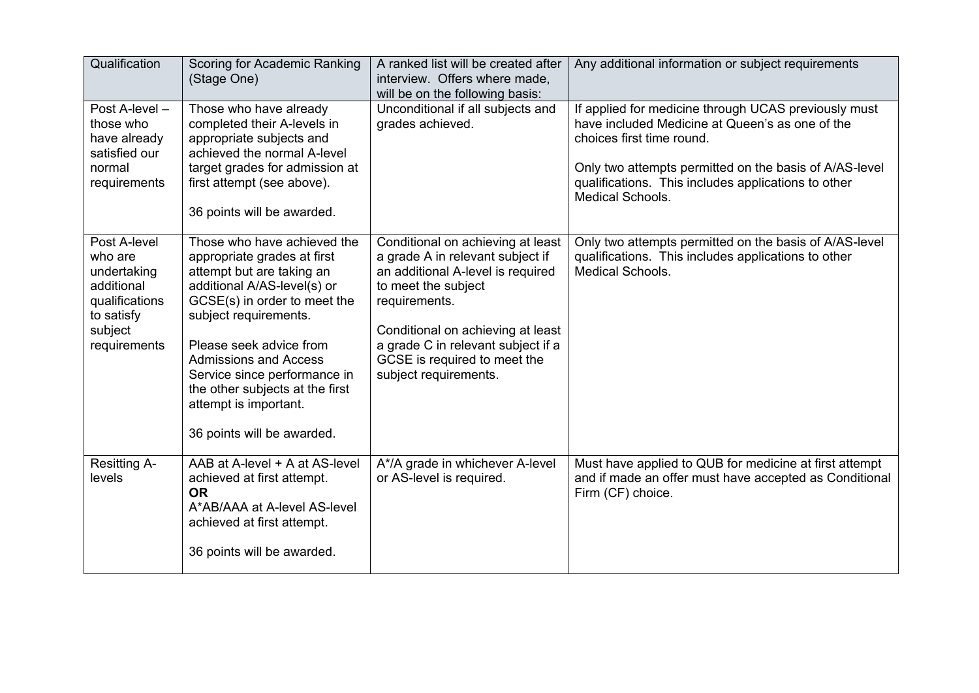| Qualification                                                                                                   | Scoring for Academic Ranking<br>(Stage One)                                                                                                                                                                                                                                                                                                                          | A ranked list will be created after<br>interview. Offers where made,<br>will be on the following basis:                                                                                                                                                                                | Any additional information or subject requirements                                                                                                                                                                                                                               |
|-----------------------------------------------------------------------------------------------------------------|----------------------------------------------------------------------------------------------------------------------------------------------------------------------------------------------------------------------------------------------------------------------------------------------------------------------------------------------------------------------|----------------------------------------------------------------------------------------------------------------------------------------------------------------------------------------------------------------------------------------------------------------------------------------|----------------------------------------------------------------------------------------------------------------------------------------------------------------------------------------------------------------------------------------------------------------------------------|
| Post A-level -<br>those who<br>have already<br>satisfied our<br>normal<br>requirements                          | Those who have already<br>completed their A-levels in<br>appropriate subjects and<br>achieved the normal A-level<br>target grades for admission at<br>first attempt (see above).<br>36 points will be awarded.                                                                                                                                                       | Unconditional if all subjects and<br>grades achieved.                                                                                                                                                                                                                                  | If applied for medicine through UCAS previously must<br>have included Medicine at Queen's as one of the<br>choices first time round.<br>Only two attempts permitted on the basis of A/AS-level<br>qualifications. This includes applications to other<br><b>Medical Schools.</b> |
| Post A-level<br>who are<br>undertaking<br>additional<br>qualifications<br>to satisfy<br>subject<br>requirements | Those who have achieved the<br>appropriate grades at first<br>attempt but are taking an<br>additional A/AS-level(s) or<br>GCSE(s) in order to meet the<br>subject requirements.<br>Please seek advice from<br><b>Admissions and Access</b><br>Service since performance in<br>the other subjects at the first<br>attempt is important.<br>36 points will be awarded. | Conditional on achieving at least<br>a grade A in relevant subject if<br>an additional A-level is required<br>to meet the subject<br>requirements.<br>Conditional on achieving at least<br>a grade C in relevant subject if a<br>GCSE is required to meet the<br>subject requirements. | Only two attempts permitted on the basis of A/AS-level<br>qualifications. This includes applications to other<br>Medical Schools.                                                                                                                                                |
| <b>Resitting A-</b><br>levels                                                                                   | AAB at A-level + A at AS-level<br>achieved at first attempt.<br><b>OR</b><br>A*AB/AAA at A-level AS-level<br>achieved at first attempt.<br>36 points will be awarded.                                                                                                                                                                                                | A*/A grade in whichever A-level<br>or AS-level is required.                                                                                                                                                                                                                            | Must have applied to QUB for medicine at first attempt<br>and if made an offer must have accepted as Conditional<br>Firm (CF) choice.                                                                                                                                            |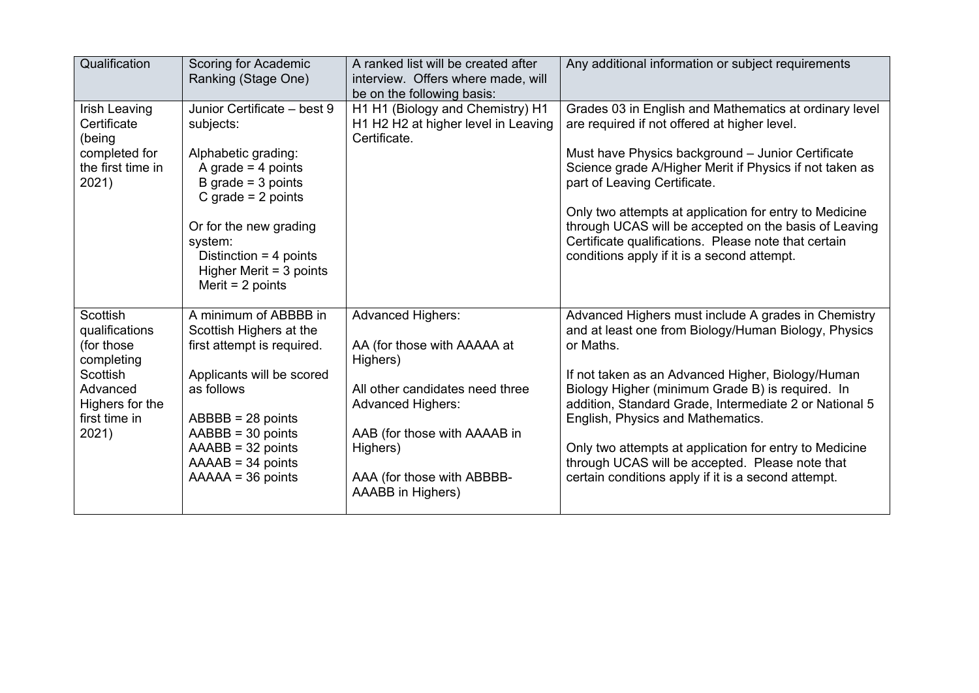| Qualification                                                                                                               | Scoring for Academic<br>Ranking (Stage One)                                                                                                                                                                                                                 | A ranked list will be created after<br>interview. Offers where made, will<br>be on the following basis:                                                                                                                           | Any additional information or subject requirements                                                                                                                                                                                                                                                                                                                                                                                                                                                   |
|-----------------------------------------------------------------------------------------------------------------------------|-------------------------------------------------------------------------------------------------------------------------------------------------------------------------------------------------------------------------------------------------------------|-----------------------------------------------------------------------------------------------------------------------------------------------------------------------------------------------------------------------------------|------------------------------------------------------------------------------------------------------------------------------------------------------------------------------------------------------------------------------------------------------------------------------------------------------------------------------------------------------------------------------------------------------------------------------------------------------------------------------------------------------|
| Irish Leaving<br>Certificate<br>(being<br>completed for<br>the first time in<br>2021)                                       | Junior Certificate - best 9<br>subjects:<br>Alphabetic grading:<br>A grade $=$ 4 points<br>B grade $=$ 3 points<br>C grade $= 2$ points<br>Or for the new grading<br>system:<br>Distinction = $4$ points<br>Higher Merit $=$ 3 points<br>Merit = $2$ points | H1 H1 (Biology and Chemistry) H1<br>H1 H2 H2 at higher level in Leaving<br>Certificate.                                                                                                                                           | Grades 03 in English and Mathematics at ordinary level<br>are required if not offered at higher level.<br>Must have Physics background - Junior Certificate<br>Science grade A/Higher Merit if Physics if not taken as<br>part of Leaving Certificate.<br>Only two attempts at application for entry to Medicine<br>through UCAS will be accepted on the basis of Leaving<br>Certificate qualifications. Please note that certain<br>conditions apply if it is a second attempt.                     |
| Scottish<br>qualifications<br>(for those<br>completing<br>Scottish<br>Advanced<br>Highers for the<br>first time in<br>2021) | A minimum of ABBBB in<br>Scottish Highers at the<br>first attempt is required.<br>Applicants will be scored<br>as follows<br>$ABBBB = 28$ points<br>$AABB = 30$ points<br>$AAABB = 32 points$<br>$AAAB = 34$ points<br>$AAAAA = 36$ points                  | <b>Advanced Highers:</b><br>AA (for those with AAAAA at<br>Highers)<br>All other candidates need three<br><b>Advanced Highers:</b><br>AAB (for those with AAAAB in<br>Highers)<br>AAA (for those with ABBBB-<br>AAABB in Highers) | Advanced Highers must include A grades in Chemistry<br>and at least one from Biology/Human Biology, Physics<br>or Maths.<br>If not taken as an Advanced Higher, Biology/Human<br>Biology Higher (minimum Grade B) is required. In<br>addition, Standard Grade, Intermediate 2 or National 5<br>English, Physics and Mathematics.<br>Only two attempts at application for entry to Medicine<br>through UCAS will be accepted. Please note that<br>certain conditions apply if it is a second attempt. |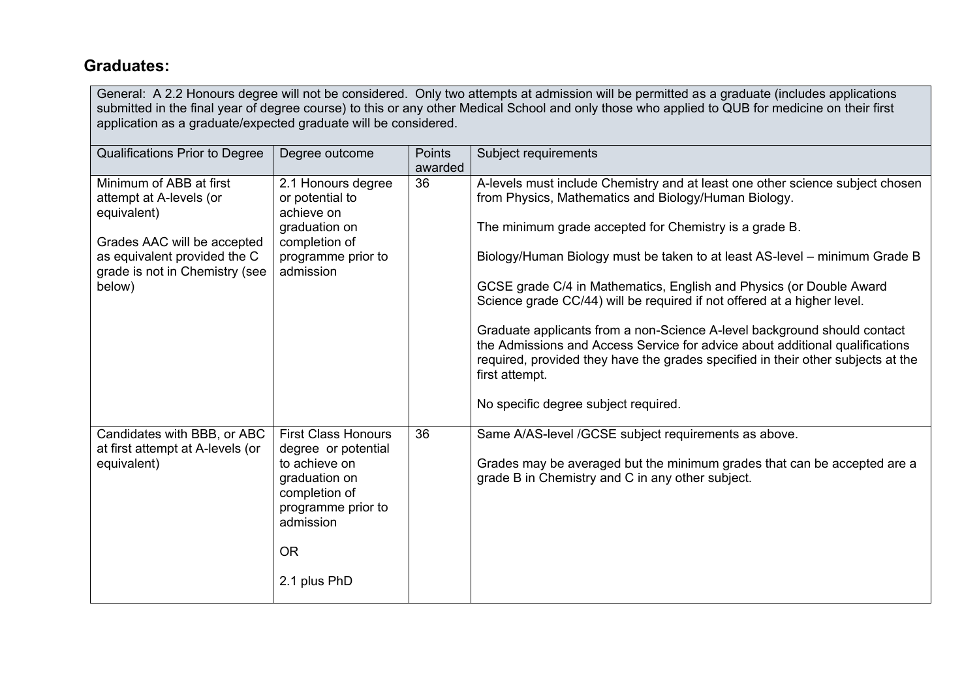# **Graduates:**

General: A 2.2 Honours degree will not be considered. Only two attempts at admission will be permitted as a graduate (includes applications submitted in the final year of degree course) to this or any other Medical School and only those who applied to QUB for medicine on their first application as a graduate/expected graduate will be considered.

| Qualifications Prior to Degree                                                                                                                                               | Degree outcome                                                                                                                                                       | Points<br>awarded | Subject requirements                                                                                                                                                                                                                                                                                                                                                                                                                                                                                                                                                                                                                                                                                                                      |
|------------------------------------------------------------------------------------------------------------------------------------------------------------------------------|----------------------------------------------------------------------------------------------------------------------------------------------------------------------|-------------------|-------------------------------------------------------------------------------------------------------------------------------------------------------------------------------------------------------------------------------------------------------------------------------------------------------------------------------------------------------------------------------------------------------------------------------------------------------------------------------------------------------------------------------------------------------------------------------------------------------------------------------------------------------------------------------------------------------------------------------------------|
| Minimum of ABB at first<br>attempt at A-levels (or<br>equivalent)<br>Grades AAC will be accepted<br>as equivalent provided the C<br>grade is not in Chemistry (see<br>below) | 2.1 Honours degree<br>or potential to<br>achieve on<br>graduation on<br>completion of<br>programme prior to<br>admission                                             | 36                | A-levels must include Chemistry and at least one other science subject chosen<br>from Physics, Mathematics and Biology/Human Biology.<br>The minimum grade accepted for Chemistry is a grade B.<br>Biology/Human Biology must be taken to at least AS-level – minimum Grade B<br>GCSE grade C/4 in Mathematics, English and Physics (or Double Award<br>Science grade CC/44) will be required if not offered at a higher level.<br>Graduate applicants from a non-Science A-level background should contact<br>the Admissions and Access Service for advice about additional qualifications<br>required, provided they have the grades specified in their other subjects at the<br>first attempt.<br>No specific degree subject required. |
| Candidates with BBB, or ABC<br>at first attempt at A-levels (or<br>equivalent)                                                                                               | <b>First Class Honours</b><br>degree or potential<br>to achieve on<br>graduation on<br>completion of<br>programme prior to<br>admission<br><b>OR</b><br>2.1 plus PhD | 36                | Same A/AS-level /GCSE subject requirements as above.<br>Grades may be averaged but the minimum grades that can be accepted are a<br>grade B in Chemistry and C in any other subject.                                                                                                                                                                                                                                                                                                                                                                                                                                                                                                                                                      |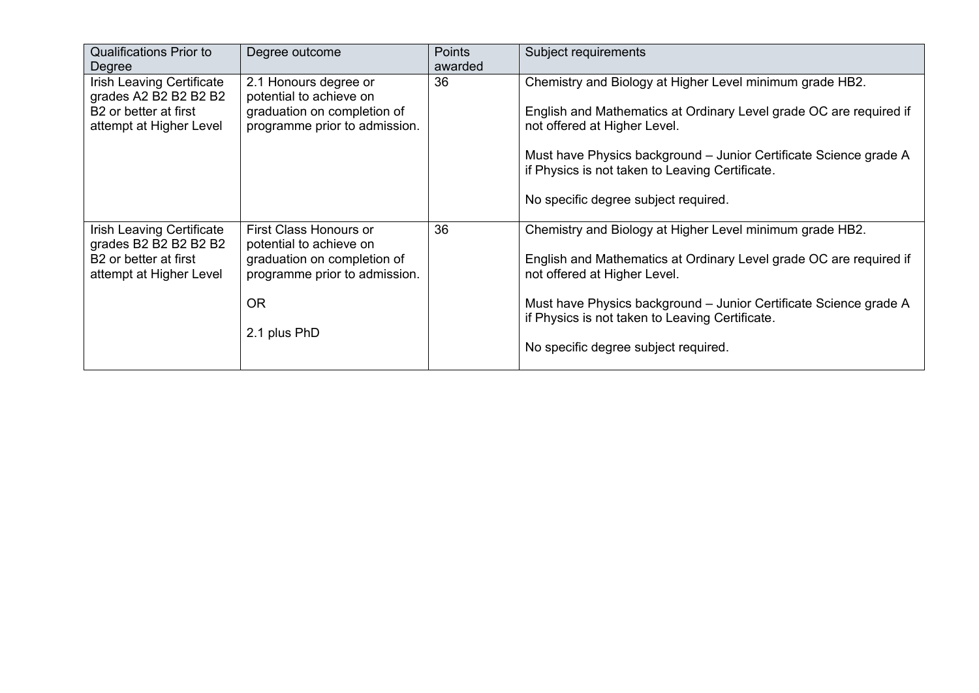| <b>Qualifications Prior to</b><br>Degree                                                                           | Degree outcome                                                                                                                                 | <b>Points</b><br>awarded | Subject requirements                                                                                                                                                                                                                                                                                                           |
|--------------------------------------------------------------------------------------------------------------------|------------------------------------------------------------------------------------------------------------------------------------------------|--------------------------|--------------------------------------------------------------------------------------------------------------------------------------------------------------------------------------------------------------------------------------------------------------------------------------------------------------------------------|
| Irish Leaving Certificate<br>grades A2 B2 B2 B2 B2<br>B <sub>2</sub> or better at first<br>attempt at Higher Level | 2.1 Honours degree or<br>potential to achieve on<br>graduation on completion of<br>programme prior to admission.                               | 36                       | Chemistry and Biology at Higher Level minimum grade HB2.<br>English and Mathematics at Ordinary Level grade OC are required if<br>not offered at Higher Level.<br>Must have Physics background – Junior Certificate Science grade A<br>if Physics is not taken to Leaving Certificate.<br>No specific degree subject required. |
| Irish Leaving Certificate<br>grades B2 B2 B2 B2 B2<br>B <sub>2</sub> or better at first<br>attempt at Higher Level | First Class Honours or<br>potential to achieve on<br>graduation on completion of<br>programme prior to admission.<br><b>OR</b><br>2.1 plus PhD | 36                       | Chemistry and Biology at Higher Level minimum grade HB2.<br>English and Mathematics at Ordinary Level grade OC are required if<br>not offered at Higher Level.<br>Must have Physics background - Junior Certificate Science grade A<br>if Physics is not taken to Leaving Certificate.<br>No specific degree subject required. |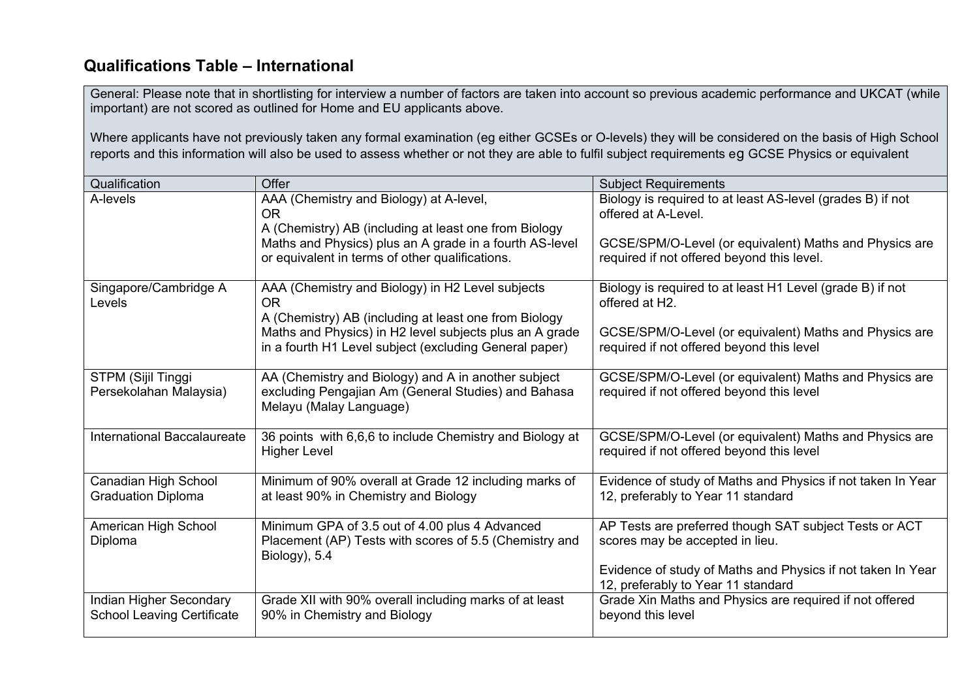# **Qualifications Table – International**

General: Please note that in shortlisting for interview a number of factors are taken into account so previous academic performance and UKCAT (while important) are not scored as outlined for Home and EU applicants above.

Where applicants have not previously taken any formal examination (eg either GCSEs or O-levels) they will be considered on the basis of High School reports and this information will also be used to assess whether or not they are able to fulfil subject requirements eg GCSE Physics or equivalent

| Qualification                                                | Offer                                                                                                                                 | <b>Subject Requirements</b>                                                                          |
|--------------------------------------------------------------|---------------------------------------------------------------------------------------------------------------------------------------|------------------------------------------------------------------------------------------------------|
| A-levels                                                     | AAA (Chemistry and Biology) at A-level,<br>OR.<br>A (Chemistry) AB (including at least one from Biology                               | Biology is required to at least AS-level (grades B) if not<br>offered at A-Level.                    |
|                                                              | Maths and Physics) plus an A grade in a fourth AS-level<br>or equivalent in terms of other qualifications.                            | GCSE/SPM/O-Level (or equivalent) Maths and Physics are<br>required if not offered beyond this level. |
| Singapore/Cambridge A<br>Levels                              | AAA (Chemistry and Biology) in H2 Level subjects<br>OR.<br>A (Chemistry) AB (including at least one from Biology                      | Biology is required to at least H1 Level (grade B) if not<br>offered at H2.                          |
|                                                              | Maths and Physics) in H2 level subjects plus an A grade<br>in a fourth H1 Level subject (excluding General paper)                     | GCSE/SPM/O-Level (or equivalent) Maths and Physics are<br>required if not offered beyond this level  |
| STPM (Sijil Tinggi<br>Persekolahan Malaysia)                 | AA (Chemistry and Biology) and A in another subject<br>excluding Pengajian Am (General Studies) and Bahasa<br>Melayu (Malay Language) | GCSE/SPM/O-Level (or equivalent) Maths and Physics are<br>required if not offered beyond this level  |
| International Baccalaureate                                  | 36 points with 6,6,6 to include Chemistry and Biology at<br><b>Higher Level</b>                                                       | GCSE/SPM/O-Level (or equivalent) Maths and Physics are<br>required if not offered beyond this level  |
| Canadian High School<br><b>Graduation Diploma</b>            | Minimum of 90% overall at Grade 12 including marks of<br>at least 90% in Chemistry and Biology                                        | Evidence of study of Maths and Physics if not taken In Year<br>12, preferably to Year 11 standard    |
| American High School<br>Diploma                              | Minimum GPA of 3.5 out of 4.00 plus 4 Advanced<br>Placement (AP) Tests with scores of 5.5 (Chemistry and<br>Biology), 5.4             | AP Tests are preferred though SAT subject Tests or ACT<br>scores may be accepted in lieu.            |
|                                                              |                                                                                                                                       | Evidence of study of Maths and Physics if not taken In Year<br>12, preferably to Year 11 standard    |
| Indian Higher Secondary<br><b>School Leaving Certificate</b> | Grade XII with 90% overall including marks of at least<br>90% in Chemistry and Biology                                                | Grade Xin Maths and Physics are required if not offered<br>beyond this level                         |